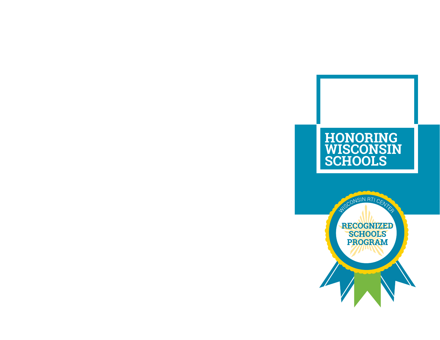

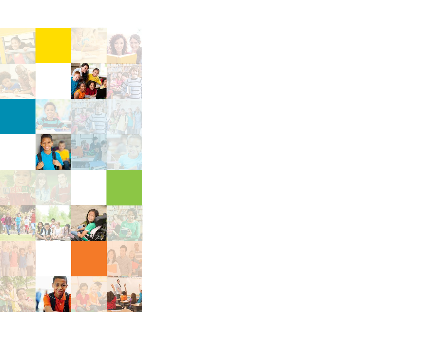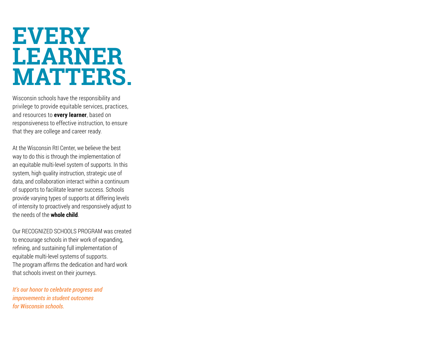## **EVERY LEARNER MATTERS.**

Wisconsin schools have the responsibility and privilege to provide equitable services, practices, and resources to **every learner**, based on responsiveness to effective instruction, to ensure that they are college and career ready.

At the Wisconsin RtI Center, we believe the best way to do this is through the implementation of an equitable multi-level system of supports. In this system, high quality instruction, strategic use of data, and collaboration interact within a continuum of supports to facilitate learner success. Schools provide varying types of supports at differing levels of intensity to proactively and responsively adjust to the needs of the **whole child**.

Our RECOGNIZED SCHOOLS PROGRAM was created to encourage schools in their work of expanding, refining, and sustaining full implementation of equitable multi-level systems of supports. The program affirms the dedication and hard work that schools invest on their journeys.

*It's our honor to celebrate progress and improvements in student outcomes for Wisconsin schools.*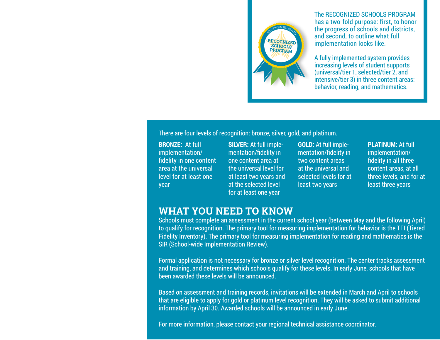

The RECOGNIZED SCHOOLS PROGRAM has a two-fold purpose: first, to honor the progress of schools and districts, and second, to outline what full implementation looks like.

A fully implemented system provides increasing levels of student supports (universal/tier 1, selected/tier 2, and intensive/tier 3) in three content areas: behavior, reading, and mathematics.

There are four levels of recognition: bronze, silver, gold, and platinum.

**BRONZE:** At full implementation/ fidelity in one content area at the universal level for at least one year

**SILVER:** At full implementation/fidelity in one content area at the universal level for at least two years and at the selected level for at least one year

**GOLD:** At full implementation/fidelity in two content areas at the universal and selected levels for at least two years

**PLATINUM:** At full implementation/ fidelity in all three content areas, at all three levels, and for at least three years

## **WHAT YOU NEED TO KNOW**

Schools must complete an assessment in the current school year (between May and the following April) to qualify for recognition. The primary tool for measuring implementation for behavior is the TFI (Tiered Fidelity Inventory). The primary tool for measuring implementation for reading and mathematics is the SIR (School-wide Implementation Review).

Formal application is not necessary for bronze or silver level recognition. The center tracks assessment and training, and determines which schools qualify for these levels. In early June, schools that have been awarded these levels will be announced.

Based on assessment and training records, invitations will be extended in March and April to schools that are eligible to apply for gold or platinum level recognition. They will be asked to submit additional information by April 30. Awarded schools will be announced in early June.

For more information, please contact your regional technical assistance coordinator.